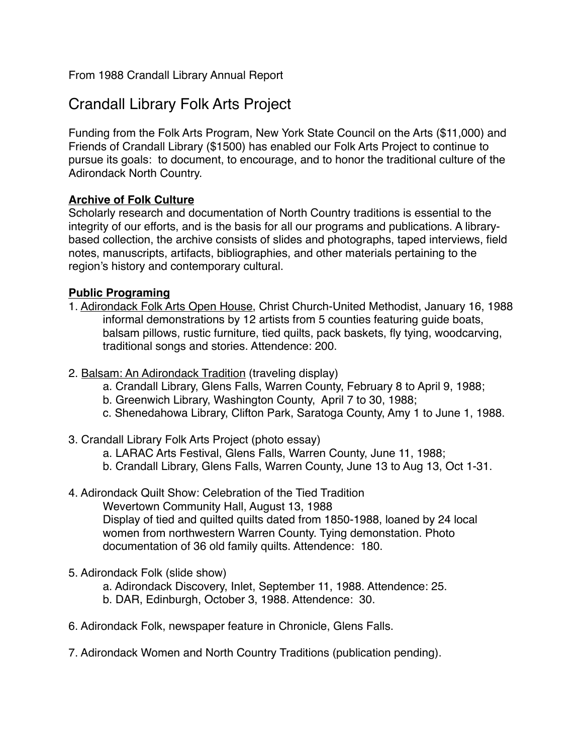From 1988 Crandall Library Annual Report

# Crandall Library Folk Arts Project

Funding from the Folk Arts Program, New York State Council on the Arts (\$11,000) and Friends of Crandall Library (\$1500) has enabled our Folk Arts Project to continue to pursue its goals: to document, to encourage, and to honor the traditional culture of the Adirondack North Country.

# **Archive of Folk Culture**

Scholarly research and documentation of North Country traditions is essential to the integrity of our efforts, and is the basis for all our programs and publications. A librarybased collection, the archive consists of slides and photographs, taped interviews, field notes, manuscripts, artifacts, bibliographies, and other materials pertaining to the region's history and contemporary cultural.

## **Public Programing**

- 1. Adirondack Folk Arts Open House, Christ Church-United Methodist, January 16, 1988 informal demonstrations by 12 artists from 5 counties featuring guide boats, balsam pillows, rustic furniture, tied quilts, pack baskets, fly tying, woodcarving, traditional songs and stories. Attendence: 200.
- 2. Balsam: An Adirondack Tradition (traveling display)
	- a. Crandall Library, Glens Falls, Warren County, February 8 to April 9, 1988;
	- b. Greenwich Library, Washington County, April 7 to 30, 1988;
	- c. Shenedahowa Library, Clifton Park, Saratoga County, Amy 1 to June 1, 1988.
- 3. Crandall Library Folk Arts Project (photo essay)
	- a. LARAC Arts Festival, Glens Falls, Warren County, June 11, 1988;
	- b. Crandall Library, Glens Falls, Warren County, June 13 to Aug 13, Oct 1-31.

#### 4. Adirondack Quilt Show: Celebration of the Tied Tradition

Wevertown Community Hall, August 13, 1988 Display of tied and quilted quilts dated from 1850-1988, loaned by 24 local women from northwestern Warren County. Tying demonstation. Photo documentation of 36 old family quilts. Attendence: 180.

5. Adirondack Folk (slide show)

a. Adirondack Discovery, Inlet, September 11, 1988. Attendence: 25.

- b. DAR, Edinburgh, October 3, 1988. Attendence: 30.
- 6. Adirondack Folk, newspaper feature in Chronicle, Glens Falls.
- 7. Adirondack Women and North Country Traditions (publication pending).